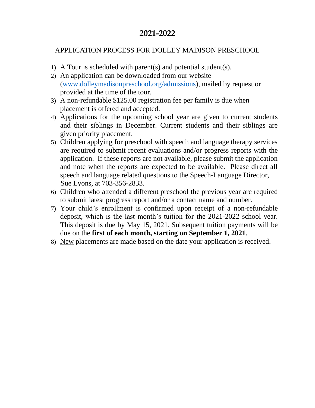# **2021-2022**

## APPLICATION PROCESS FOR DOLLEY MADISON PRESCHOOL

- 1) A Tour is scheduled with parent(s) and potential student(s).
- 2) An application can be downloaded from our website [\(www.dolleymadisonpreschool.org/admissions\)](http://www.dolleymadisonpreschool.org/admissions), mailed by request or provided at the time of the tour.
- 3) A non-refundable \$125.00 registration fee per family is due when placement is offered and accepted.
- 4) Applications for the upcoming school year are given to current students and their siblings in December. Current students and their siblings are given priority placement.
- 5) Children applying for preschool with speech and language therapy services are required to submit recent evaluations and/or progress reports with the application. If these reports are not available, please submit the application and note when the reports are expected to be available. Please direct all speech and language related questions to the Speech-Language Director, Sue Lyons, at 703-356-2833.
- 6) Children who attended a different preschool the previous year are required to submit latest progress report and/or a contact name and number.
- 7) Your child's enrollment is confirmed upon receipt of a non-refundable deposit, which is the last month's tuition for the 2021-2022 school year. This deposit is due by May 15, 2021. Subsequent tuition payments will be due on the **first of each month, starting on September 1, 2021**.
- 8) New placements are made based on the date your application is received.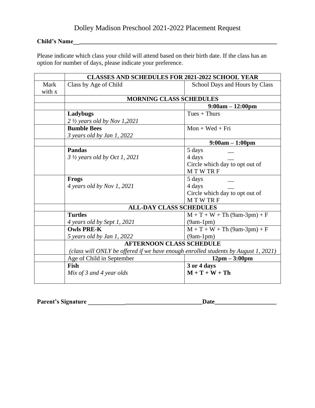### **Child's Name\_\_\_\_\_\_\_\_\_\_\_\_\_\_\_\_\_\_\_\_\_\_\_\_\_\_\_\_\_\_\_\_\_\_\_\_\_\_\_\_\_\_\_\_\_\_\_\_\_\_\_\_\_\_\_\_\_\_\_\_\_\_\_\_\_\_**

Please indicate which class your child will attend based on their birth date. If the class has an option for number of days, please indicate your preference.

|             | <b>CLASSES AND SCHEDULES FOR 2021-2022 SCHOOL YEAR</b>                             |                                 |  |  |
|-------------|------------------------------------------------------------------------------------|---------------------------------|--|--|
| <b>Mark</b> | Class by Age of Child                                                              | School Days and Hours by Class  |  |  |
| with x      |                                                                                    |                                 |  |  |
|             | <b>MORNING CLASS SCHEDULES</b>                                                     |                                 |  |  |
|             |                                                                                    | $9:00am - 12:00pm$              |  |  |
|             | Ladybugs                                                                           | $Tues + Thus$                   |  |  |
|             | $2 \frac{1}{2}$ years old by Nov 1,2021                                            |                                 |  |  |
|             | <b>Bumble Bees</b>                                                                 | $Mon + Wed + Fri$               |  |  |
|             | $3$ years old by Jan 1, 2022                                                       |                                 |  |  |
|             |                                                                                    | $9:00am - 1:00pm$               |  |  |
|             | <b>Pandas</b>                                                                      | 5 days                          |  |  |
|             | 3 1/2 years old by Oct 1, 2021                                                     | 4 days                          |  |  |
|             |                                                                                    | Circle which day to opt out of  |  |  |
|             |                                                                                    | <b>MTWTRF</b>                   |  |  |
|             | <b>Frogs</b>                                                                       | 5 days                          |  |  |
|             | 4 years old by Nov 1, 2021                                                         | 4 days                          |  |  |
|             |                                                                                    | Circle which day to opt out of  |  |  |
|             |                                                                                    | <b>MTWTRF</b>                   |  |  |
|             | <b>ALL-DAY CLASS SCHEDULES</b>                                                     |                                 |  |  |
|             | <b>Turtles</b>                                                                     | $M + T + W + Th (9am-3pm) + F$  |  |  |
|             | 4 years old by Sept 1, 2021                                                        | $(9am-1pm)$                     |  |  |
|             | <b>Owls PRE-K</b>                                                                  | $M + T + W + Th (9am-3pm) + F$  |  |  |
|             | 5 years old by Jan 1, 2022                                                         | $(9am-1pm)$                     |  |  |
|             | <b>AFTERNOON CLASS SCHEDULE</b>                                                    |                                 |  |  |
|             | (class will ONLY be offered if we have enough enrolled students by August 1, 2021) |                                 |  |  |
|             | Age of Child in September                                                          | $12 \text{pm} - 3:00 \text{pm}$ |  |  |
|             | Fish                                                                               | 3 or 4 days                     |  |  |
|             | Mix of 3 and 4 year olds                                                           | $M + T + W + Th$                |  |  |
|             |                                                                                    |                                 |  |  |

**Parent's Signature \_\_\_\_\_\_\_\_\_\_\_\_\_\_\_\_\_\_\_\_\_\_\_\_\_\_\_\_\_\_\_\_\_\_\_\_\_Date\_\_\_\_\_\_\_\_\_\_\_\_\_\_\_\_\_\_\_\_**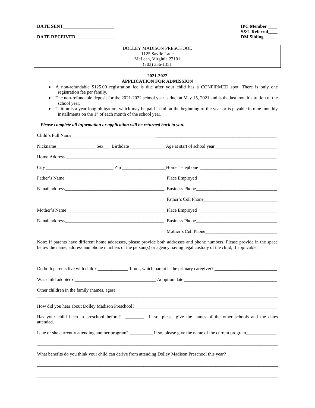| <b>DATE SENT</b> |  |
|------------------|--|
|------------------|--|

#### DATE RECEIVED\_

**IPC Member S&L Referral\_\_\_\_**

#### DOLLEY MADISON PRESCHOOL 1125 Savile Lane McLean, Virginia 22101 (703) 356-1351

#### **2021-2022 APPLICATION FOR ADMISSION**

- A non-refundable \$125.00 registration fee is due after your child has a CONFIRMED spot. There is only one registration fee per family.
- The non-refundable deposit for the 2021-2022 school year is due on May 15, 2021 and is the last month's tuition of the school year.
- Tuition is a year-long obligation, which may be paid in full at the beginning of the year or is payable in nine monthly installments on the  $1<sup>st</sup>$  of each month of the school year.

#### *Please complete all information or application will be returned back to you.*

| Child's Full Name                           |  |                                                                                                                  |
|---------------------------------------------|--|------------------------------------------------------------------------------------------------------------------|
|                                             |  |                                                                                                                  |
|                                             |  |                                                                                                                  |
|                                             |  |                                                                                                                  |
|                                             |  |                                                                                                                  |
|                                             |  |                                                                                                                  |
|                                             |  |                                                                                                                  |
|                                             |  |                                                                                                                  |
|                                             |  |                                                                                                                  |
|                                             |  |                                                                                                                  |
| Other children in the family (names, ages): |  |                                                                                                                  |
|                                             |  |                                                                                                                  |
|                                             |  | Has your child been in preschool before? _______ If so, please give the names of the other schools and the dates |
|                                             |  |                                                                                                                  |
|                                             |  | What benefits do you think your child can derive from attending Dolley Madison Preschool this year?              |
|                                             |  |                                                                                                                  |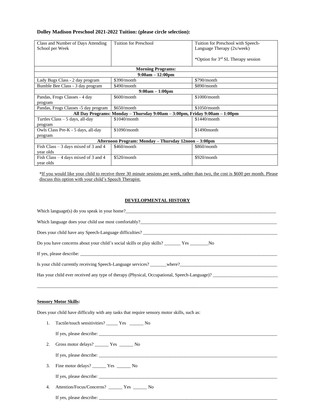#### **Dolley Madison Preschool 2021-2022 Tuition: (please circle selection):**

| Class and Number of Days Attending                   | <b>Tuition for Preschool</b>                                                | Tuition for Preschool with Speech-   |  |
|------------------------------------------------------|-----------------------------------------------------------------------------|--------------------------------------|--|
| School per Week                                      |                                                                             | Language Therapy $(2x/week)$         |  |
|                                                      |                                                                             |                                      |  |
|                                                      |                                                                             | *Option for $3rd$ SL Therapy session |  |
|                                                      | <b>Morning Programs:</b>                                                    |                                      |  |
|                                                      | $9:00am - 12:00pm$                                                          |                                      |  |
| Lady Bugs Class - 2 day program                      | \$390/month                                                                 | \$790/month                          |  |
| Bumble Bee Class - 3 day program                     | \$490/month                                                                 | \$890/month                          |  |
| $9:00am - 1:00pm$                                    |                                                                             |                                      |  |
| Pandas, Frogs Classes - 4 day                        | \$600/month                                                                 | \$1000/month                         |  |
| program                                              |                                                                             |                                      |  |
| Pandas, Frogs Classes -5 day program                 | \$650/month                                                                 | $$1050/m$ onth                       |  |
|                                                      | All Day Programs: Monday - Thursday 9:00am - 3:00pm, Friday 9:00am - 1:00pm |                                      |  |
| Turtles Class - 5 days, all-day                      | \$1040/month                                                                | $$1440/m$ onth                       |  |
| program                                              |                                                                             |                                      |  |
| Owls Class Pre-K - 5 days, all-day                   | \$1090/month                                                                | \$1490 month                         |  |
| program                                              |                                                                             |                                      |  |
| Afternoon Program: Monday – Thursday 12noon – 3:00pm |                                                                             |                                      |  |
| Fish Class $-3$ days mixed of 3 and 4                | \$460/month                                                                 | \$860/month                          |  |
| year olds                                            |                                                                             |                                      |  |
| Fish Class $-4$ days mixed of 3 and 4                | \$520/month                                                                 | \$920/month                          |  |
| year olds                                            |                                                                             |                                      |  |

\*If you would like your child to receive three 30 minute sessions per week, rather than two, the cost is \$600 per month. Please discuss this option with your child's Speech Therapist.

#### **DEVELOPMENTAL HISTORY**

| Which language(s) do you speak in your home?                                                |
|---------------------------------------------------------------------------------------------|
| Which language does your child use most comfortably?                                        |
| Does your child have any Speech-Language difficulties? __________________________           |
| Do you have concerns about your child's social skills or play skills? The Yes No            |
|                                                                                             |
|                                                                                             |
| Has your child ever received any type of therapy (Physical, Occupational, Speech-Language)? |
|                                                                                             |

\_\_\_\_\_\_\_\_\_\_\_\_\_\_\_\_\_\_\_\_\_\_\_\_\_\_\_\_\_\_\_\_\_\_\_\_\_\_\_\_\_\_\_\_\_\_\_\_\_\_\_\_\_\_\_\_\_\_\_\_\_\_\_\_\_\_\_\_\_\_\_\_\_\_\_\_\_\_\_\_\_\_\_\_\_\_\_\_\_\_\_\_\_\_\_\_\_\_\_\_\_\_\_\_

#### **Sensory Motor Skills:**

Does your child have difficulty with any tasks that require sensory motor skills, such as:

1. Tactile/touch sensitivities? \_\_\_\_\_ Yes \_\_\_\_\_\_ No

If yes, please describe: \_\_\_\_\_\_\_\_\_\_\_\_\_\_\_\_\_\_\_\_\_\_\_\_\_\_\_\_\_\_\_\_\_\_\_\_\_\_\_\_\_\_\_\_\_\_\_\_\_\_\_\_\_\_\_\_\_\_\_\_\_\_\_\_\_\_\_\_\_\_\_\_\_\_\_\_\_

2. Gross motor delays? \_\_\_\_\_\_ Yes \_\_\_\_\_\_ No

If yes, please describe: \_\_\_\_\_\_\_\_\_\_\_\_\_\_\_\_\_\_\_\_\_\_\_\_\_\_\_\_\_\_\_\_\_\_\_\_\_\_\_\_\_\_\_\_\_\_\_\_\_\_\_\_\_\_\_\_\_\_\_\_\_\_\_\_\_\_\_\_\_\_\_\_\_\_\_\_\_

3. Fine motor delays? \_\_\_\_\_\_ Yes \_\_\_\_\_\_ No

If yes, please describe: \_\_\_\_\_\_\_\_\_\_\_\_\_\_\_\_\_\_\_\_\_\_\_\_\_\_\_\_\_\_\_\_\_\_\_\_\_\_\_\_\_\_\_\_\_\_\_\_\_\_\_\_\_\_\_\_\_\_\_\_\_\_\_\_\_\_\_\_\_\_\_\_\_\_\_\_\_

4. Attention/Focus/Concerns? \_\_\_\_\_\_ Yes \_\_\_\_\_\_ No

If yes, please describe: \_\_\_\_\_\_\_\_\_\_\_\_\_\_\_\_\_\_\_\_\_\_\_\_\_\_\_\_\_\_\_\_\_\_\_\_\_\_\_\_\_\_\_\_\_\_\_\_\_\_\_\_\_\_\_\_\_\_\_\_\_\_\_\_\_\_\_\_\_\_\_\_\_\_\_\_\_